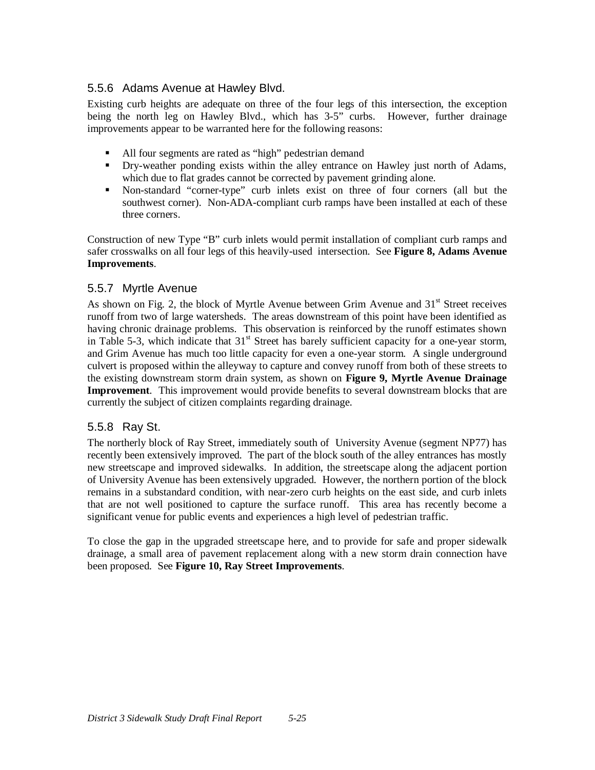## 5.5.6 Adams Avenue at Hawley Blvd.

Existing curb heights are adequate on three of the four legs of this intersection, the exception being the north leg on Hawley Blvd., which has 3-5" curbs. However, further drainage improvements appear to be warranted here for the following reasons:

- All four segments are rated as "high" pedestrian demand
- ° Dry-weather ponding exists within the alley entrance on Hawley just north of Adams, which due to flat grades cannot be corrected by pavement grinding alone.
- ° Non-standard "corner-type" curb inlets exist on three of four corners (all but the southwest corner). Non-ADA-compliant curb ramps have been installed at each of these three corners.

Construction of new Type "B" curb inlets would permit installation of compliant curb ramps and safer crosswalks on all four legs of this heavily-used intersection. See **Figure 8, Adams Avenue Improvements**.

## 5.5.7 Myrtle Avenue

As shown on Fig. 2, the block of Myrtle Avenue between Grim Avenue and  $31<sup>st</sup>$  Street receives runoff from two of large watersheds. The areas downstream of this point have been identified as having chronic drainage problems. This observation is reinforced by the runoff estimates shown in Table 5-3, which indicate that  $31<sup>st</sup>$  Street has barely sufficient capacity for a one-year storm, and Grim Avenue has much too little capacity for even a one-year storm. A single underground culvert is proposed within the alleyway to capture and convey runoff from both of these streets to the existing downstream storm drain system, as shown on **Figure 9, Myrtle Avenue Drainage Improvement**. This improvement would provide benefits to several downstream blocks that are currently the subject of citizen complaints regarding drainage.

## 5.5.8 Ray St.

The northerly block of Ray Street, immediately south of University Avenue (segment NP77) has recently been extensively improved. The part of the block south of the alley entrances has mostly new streetscape and improved sidewalks. In addition, the streetscape along the adjacent portion of University Avenue has been extensively upgraded. However, the northern portion of the block remains in a substandard condition, with near-zero curb heights on the east side, and curb inlets that are not well positioned to capture the surface runoff. This area has recently become a significant venue for public events and experiences a high level of pedestrian traffic.

To close the gap in the upgraded streetscape here, and to provide for safe and proper sidewalk drainage, a small area of pavement replacement along with a new storm drain connection have been proposed. See **Figure 10, Ray Street Improvements**.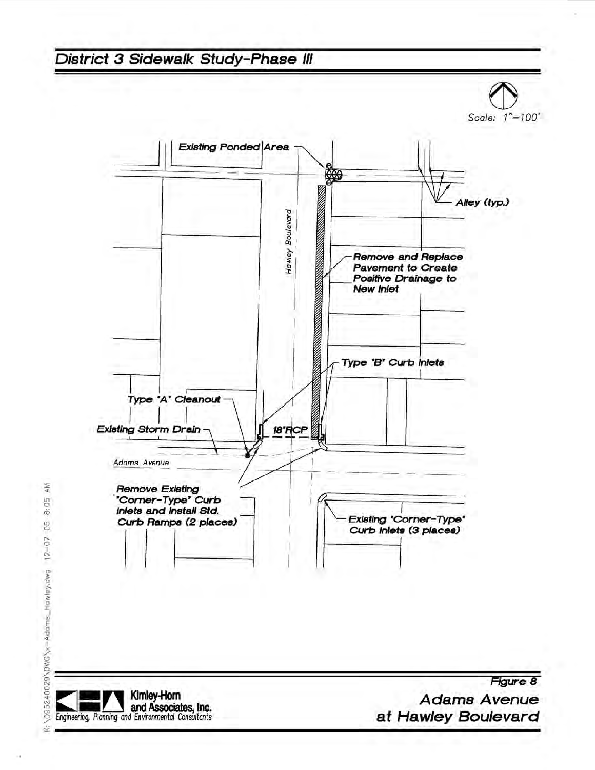

AM  $12 - 07 - 05 - 8$ ; 05 K:\095240029\DWG\x-Adams\_Hawley.dwg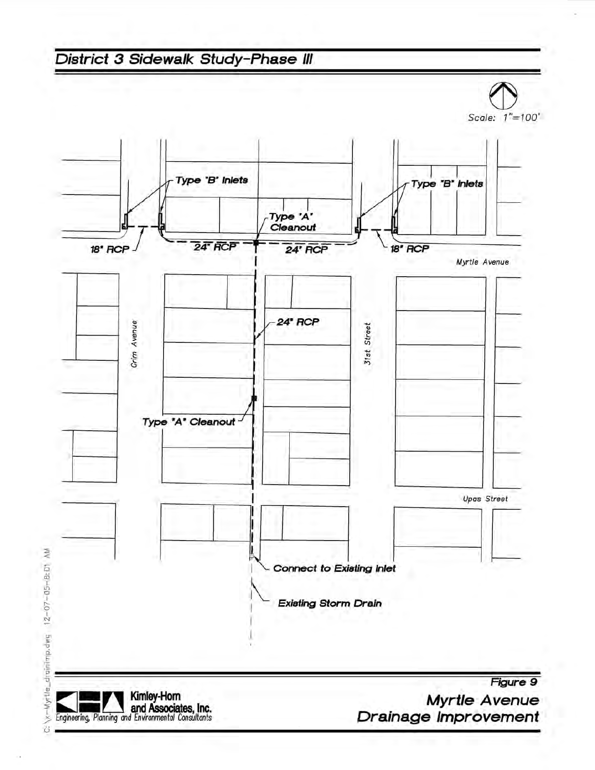

 $12 - 07 - 05 - 8$ : 01 C: Xx-Myrtle\_drainimp.dwg